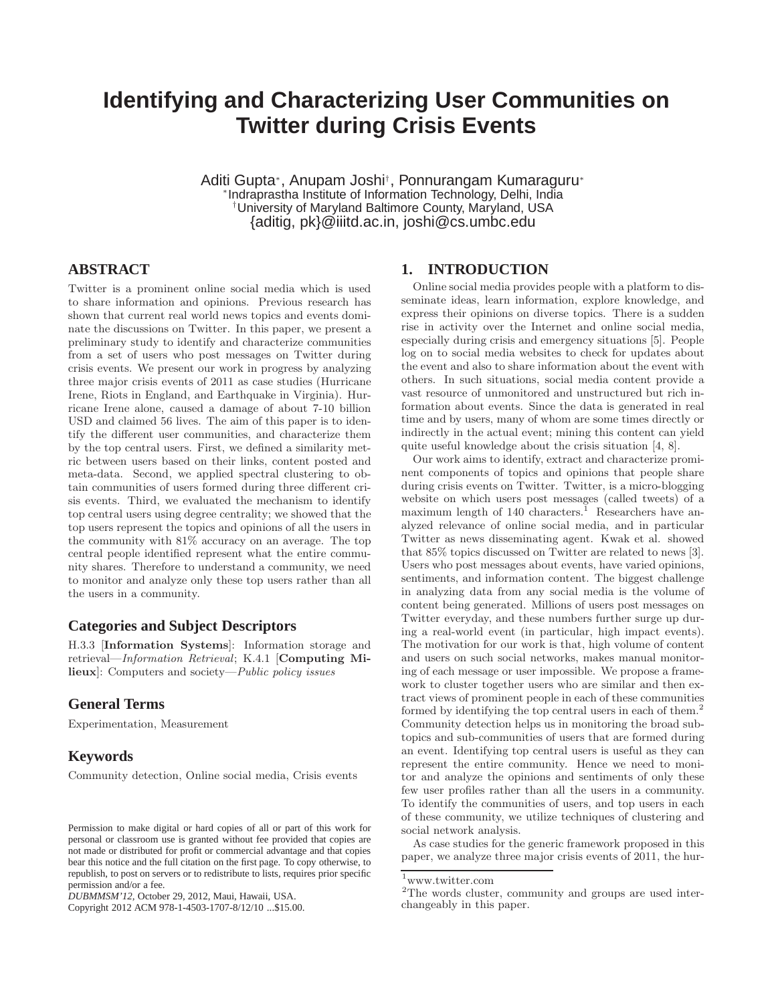# **Identifying and Characterizing User Communities on Twitter during Crisis Events**

Aditi Gupta<sup>∗</sup> , Anupam Joshi† , Ponnurangam Kumaraguru<sup>∗</sup> ∗ Indraprastha Institute of Information Technology, Delhi, India †University of Maryland Baltimore County, Maryland, USA {aditig, pk}@iiitd.ac.in, joshi@cs.umbc.edu

### **ABSTRACT**

Twitter is a prominent online social media which is used to share information and opinions. Previous research has shown that current real world news topics and events dominate the discussions on Twitter. In this paper, we present a preliminary study to identify and characterize communities from a set of users who post messages on Twitter during crisis events. We present our work in progress by analyzing three major crisis events of 2011 as case studies (Hurricane Irene, Riots in England, and Earthquake in Virginia). Hurricane Irene alone, caused a damage of about 7-10 billion USD and claimed 56 lives. The aim of this paper is to identify the different user communities, and characterize them by the top central users. First, we defined a similarity metric between users based on their links, content posted and meta-data. Second, we applied spectral clustering to obtain communities of users formed during three different crisis events. Third, we evaluated the mechanism to identify top central users using degree centrality; we showed that the top users represent the topics and opinions of all the users in the community with 81% accuracy on an average. The top central people identified represent what the entire community shares. Therefore to understand a community, we need to monitor and analyze only these top users rather than all the users in a community.

# **Categories and Subject Descriptors**

H.3.3 [Information Systems]: Information storage and retrieval—Information Retrieval; K.4.1 [Computing Milieux]: Computers and society—Public policy issues

## **General Terms**

Experimentation, Measurement

#### **Keywords**

Community detection, Online social media, Crisis events

Copyright 2012 ACM 978-1-4503-1707-8/12/10 ...\$15.00.

### **1. INTRODUCTION**

Online social media provides people with a platform to disseminate ideas, learn information, explore knowledge, and express their opinions on diverse topics. There is a sudden rise in activity over the Internet and online social media, especially during crisis and emergency situations [5]. People log on to social media websites to check for updates about the event and also to share information about the event with others. In such situations, social media content provide a vast resource of unmonitored and unstructured but rich information about events. Since the data is generated in real time and by users, many of whom are some times directly or indirectly in the actual event; mining this content can yield quite useful knowledge about the crisis situation [4, 8].

Our work aims to identify, extract and characterize prominent components of topics and opinions that people share during crisis events on Twitter. Twitter, is a micro-blogging website on which users post messages (called tweets) of a maximum length of  $140$  characters.<sup>1</sup> Researchers have analyzed relevance of online social media, and in particular Twitter as news disseminating agent. Kwak et al. showed that 85% topics discussed on Twitter are related to news [3]. Users who post messages about events, have varied opinions, sentiments, and information content. The biggest challenge in analyzing data from any social media is the volume of content being generated. Millions of users post messages on Twitter everyday, and these numbers further surge up during a real-world event (in particular, high impact events). The motivation for our work is that, high volume of content and users on such social networks, makes manual monitoring of each message or user impossible. We propose a framework to cluster together users who are similar and then extract views of prominent people in each of these communities formed by identifying the top central users in each of them.<sup>2</sup> Community detection helps us in monitoring the broad subtopics and sub-communities of users that are formed during an event. Identifying top central users is useful as they can represent the entire community. Hence we need to monitor and analyze the opinions and sentiments of only these few user profiles rather than all the users in a community. To identify the communities of users, and top users in each of these community, we utilize techniques of clustering and social network analysis.

As case studies for the generic framework proposed in this paper, we analyze three major crisis events of 2011, the hur-

Permission to make digital or hard copies of all or part of this work for personal or classroom use is granted without fee provided that copies are not made or distributed for profit or commercial advantage and that copies bear this notice and the full citation on the first page. To copy otherwise, to republish, to post on servers or to redistribute to lists, requires prior specific permission and/or a fee.

*DUBMMSM'12,* October 29, 2012, Maui, Hawaii, USA.

<sup>1</sup>www.twitter.com

<sup>&</sup>lt;sup>2</sup>The words cluster, community and groups are used interchangeably in this paper.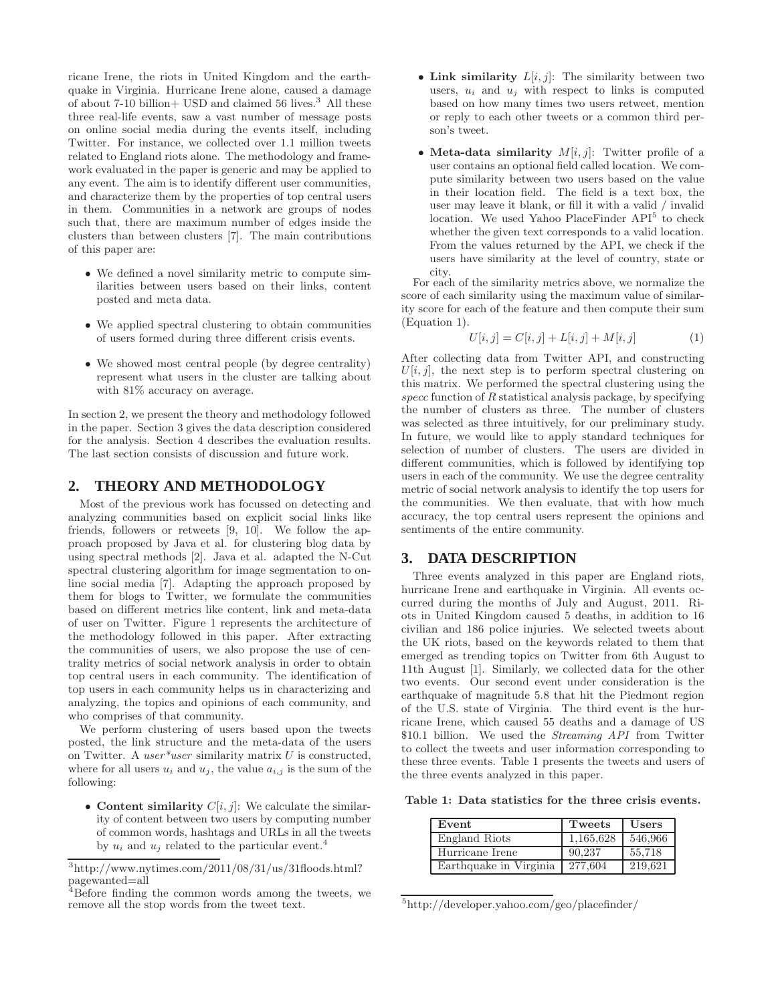ricane Irene, the riots in United Kingdom and the earthquake in Virginia. Hurricane Irene alone, caused a damage of about 7-10 billion + USD and claimed 56 lives.<sup>3</sup> All these three real-life events, saw a vast number of message posts on online social media during the events itself, including Twitter. For instance, we collected over 1.1 million tweets related to England riots alone. The methodology and framework evaluated in the paper is generic and may be applied to any event. The aim is to identify different user communities, and characterize them by the properties of top central users in them. Communities in a network are groups of nodes such that, there are maximum number of edges inside the clusters than between clusters [7]. The main contributions of this paper are:

- We defined a novel similarity metric to compute similarities between users based on their links, content posted and meta data.
- We applied spectral clustering to obtain communities of users formed during three different crisis events.
- We showed most central people (by degree centrality) represent what users in the cluster are talking about with 81% accuracy on average.

In section 2, we present the theory and methodology followed in the paper. Section 3 gives the data description considered for the analysis. Section 4 describes the evaluation results. The last section consists of discussion and future work.

#### **2. THEORY AND METHODOLOGY**

Most of the previous work has focussed on detecting and analyzing communities based on explicit social links like friends, followers or retweets [9, 10]. We follow the approach proposed by Java et al. for clustering blog data by using spectral methods [2]. Java et al. adapted the N-Cut spectral clustering algorithm for image segmentation to online social media [7]. Adapting the approach proposed by them for blogs to Twitter, we formulate the communities based on different metrics like content, link and meta-data of user on Twitter. Figure 1 represents the architecture of the methodology followed in this paper. After extracting the communities of users, we also propose the use of centrality metrics of social network analysis in order to obtain top central users in each community. The identification of top users in each community helps us in characterizing and analyzing, the topics and opinions of each community, and who comprises of that community.

We perform clustering of users based upon the tweets posted, the link structure and the meta-data of the users on Twitter. A user\*user similarity matrix  $U$  is constructed, where for all users  $u_i$  and  $u_j$ , the value  $a_{i,j}$  is the sum of the following:

• Content similarity  $C[i, j]$ : We calculate the similarity of content between two users by computing number of common words, hashtags and URLs in all the tweets by  $u_i$  and  $u_j$  related to the particular event.<sup>4</sup>

- Link similarity  $L[i, j]$ : The similarity between two users,  $u_i$  and  $u_j$  with respect to links is computed based on how many times two users retweet, mention or reply to each other tweets or a common third person's tweet.
- Meta-data similarity  $M[i, j]$ : Twitter profile of a user contains an optional field called location. We compute similarity between two users based on the value in their location field. The field is a text box, the user may leave it blank, or fill it with a valid / invalid location. We used Yahoo PlaceFinder API<sup>5</sup> to check whether the given text corresponds to a valid location. From the values returned by the API, we check if the users have similarity at the level of country, state or city.

For each of the similarity metrics above, we normalize the score of each similarity using the maximum value of similarity score for each of the feature and then compute their sum (Equation 1).

$$
U[i,j] = C[i,j] + L[i,j] + M[i,j] \tag{1}
$$

After collecting data from Twitter API, and constructing  $U[i, j]$ , the next step is to perform spectral clustering on this matrix. We performed the spectral clustering using the  $specc$  function of  $R$  statistical analysis package, by specifying the number of clusters as three. The number of clusters was selected as three intuitively, for our preliminary study. In future, we would like to apply standard techniques for selection of number of clusters. The users are divided in different communities, which is followed by identifying top users in each of the community. We use the degree centrality metric of social network analysis to identify the top users for the communities. We then evaluate, that with how much accuracy, the top central users represent the opinions and sentiments of the entire community.

### **3. DATA DESCRIPTION**

Three events analyzed in this paper are England riots, hurricane Irene and earthquake in Virginia. All events occurred during the months of July and August, 2011. Riots in United Kingdom caused 5 deaths, in addition to 16 civilian and 186 police injuries. We selected tweets about the UK riots, based on the keywords related to them that emerged as trending topics on Twitter from 6th August to 11th August [1]. Similarly, we collected data for the other two events. Our second event under consideration is the earthquake of magnitude 5.8 that hit the Piedmont region of the U.S. state of Virginia. The third event is the hurricane Irene, which caused 55 deaths and a damage of US \$10.1 billion. We used the *Streaming API* from Twitter to collect the tweets and user information corresponding to these three events. Table 1 presents the tweets and users of the three events analyzed in this paper.

Table 1: Data statistics for the three crisis events.

| Event                  | Tweets    | Users   |
|------------------------|-----------|---------|
| England Riots          | 1,165,628 | 546,966 |
| Hurricane Irene        | 90.237    | 55.718  |
| Earthquake in Virginia | 277.604   | 219.621 |

<sup>5</sup> http://developer.yahoo.com/geo/placefinder/

 $3$ http://www.nytimes.com/2011/08/31/us/31floods.html? pagewanted=all

<sup>4</sup>Before finding the common words among the tweets, we remove all the stop words from the tweet text.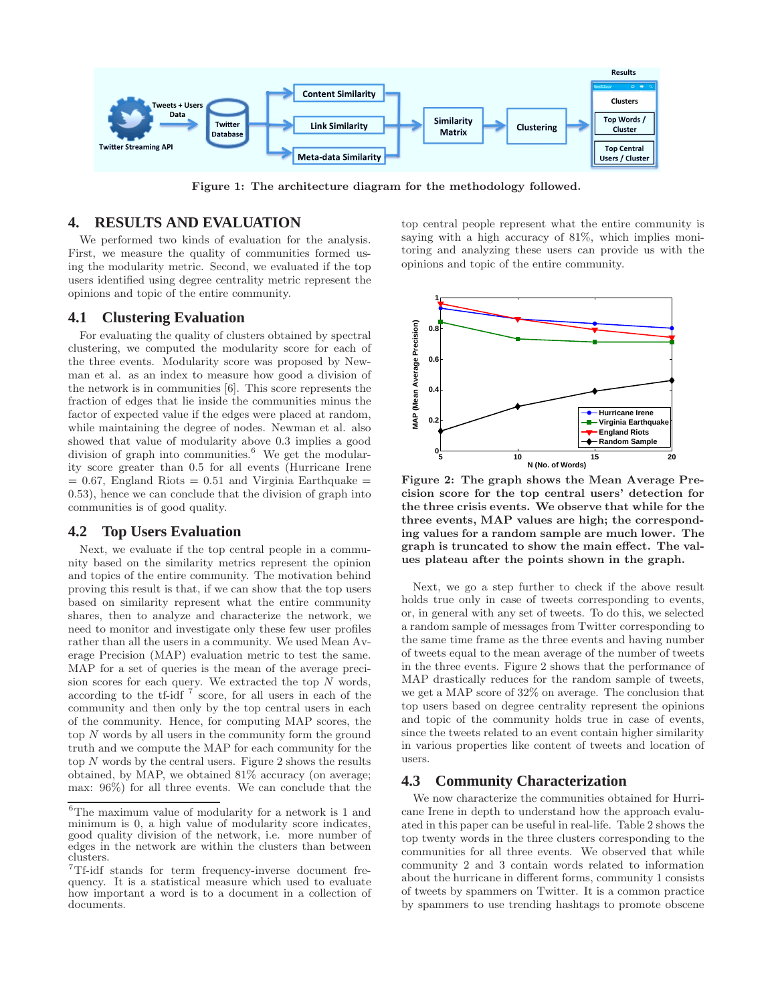

Figure 1: The architecture diagram for the methodology followed.

# **4. RESULTS AND EVALUATION**

We performed two kinds of evaluation for the analysis. First, we measure the quality of communities formed using the modularity metric. Second, we evaluated if the top users identified using degree centrality metric represent the opinions and topic of the entire community.

#### **4.1 Clustering Evaluation**

For evaluating the quality of clusters obtained by spectral clustering, we computed the modularity score for each of the three events. Modularity score was proposed by Newman et al. as an index to measure how good a division of the network is in communities [6]. This score represents the fraction of edges that lie inside the communities minus the factor of expected value if the edges were placed at random, while maintaining the degree of nodes. Newman et al. also showed that value of modularity above 0.3 implies a good division of graph into communities.<sup>6</sup> We get the modularity score greater than 0.5 for all events (Hurricane Irene  $= 0.67$ , England Riots  $= 0.51$  and Virginia Earthquake  $=$ 0.53), hence we can conclude that the division of graph into communities is of good quality.

#### **4.2 Top Users Evaluation**

Next, we evaluate if the top central people in a community based on the similarity metrics represent the opinion and topics of the entire community. The motivation behind proving this result is that, if we can show that the top users based on similarity represent what the entire community shares, then to analyze and characterize the network, we need to monitor and investigate only these few user profiles rather than all the users in a community. We used Mean Average Precision (MAP) evaluation metric to test the same. MAP for a set of queries is the mean of the average precision scores for each query. We extracted the top  $N$  words, according to the tf-idf  $7^{\circ}$  score, for all users in each of the community and then only by the top central users in each of the community. Hence, for computing MAP scores, the top N words by all users in the community form the ground truth and we compute the MAP for each community for the top  $N$  words by the central users. Figure 2 shows the results obtained, by MAP, we obtained 81% accuracy (on average; max: 96%) for all three events. We can conclude that the top central people represent what the entire community is saying with a high accuracy of 81%, which implies monitoring and analyzing these users can provide us with the opinions and topic of the entire community.



Figure 2: The graph shows the Mean Average Precision score for the top central users' detection for the three crisis events. We observe that while for the three events, MAP values are high; the corresponding values for a random sample are much lower. The graph is truncated to show the main effect. The values plateau after the points shown in the graph.

Next, we go a step further to check if the above result holds true only in case of tweets corresponding to events, or, in general with any set of tweets. To do this, we selected a random sample of messages from Twitter corresponding to the same time frame as the three events and having number of tweets equal to the mean average of the number of tweets in the three events. Figure 2 shows that the performance of MAP drastically reduces for the random sample of tweets, we get a MAP score of 32% on average. The conclusion that top users based on degree centrality represent the opinions and topic of the community holds true in case of events, since the tweets related to an event contain higher similarity in various properties like content of tweets and location of users.

# **4.3 Community Characterization**

We now characterize the communities obtained for Hurricane Irene in depth to understand how the approach evaluated in this paper can be useful in real-life. Table 2 shows the top twenty words in the three clusters corresponding to the communities for all three events. We observed that while community 2 and 3 contain words related to information about the hurricane in different forms, community 1 consists of tweets by spammers on Twitter. It is a common practice by spammers to use trending hashtags to promote obscene

 $^6\mathrm{The}$  maximum value of modularity for a network is 1 and minimum is 0, a high value of modularity score indicates, good quality division of the network, i.e. more number of edges in the network are within the clusters than between clusters.

<sup>7</sup>Tf-idf stands for term frequency-inverse document frequency. It is a statistical measure which used to evaluate how important a word is to a document in a collection of documents.